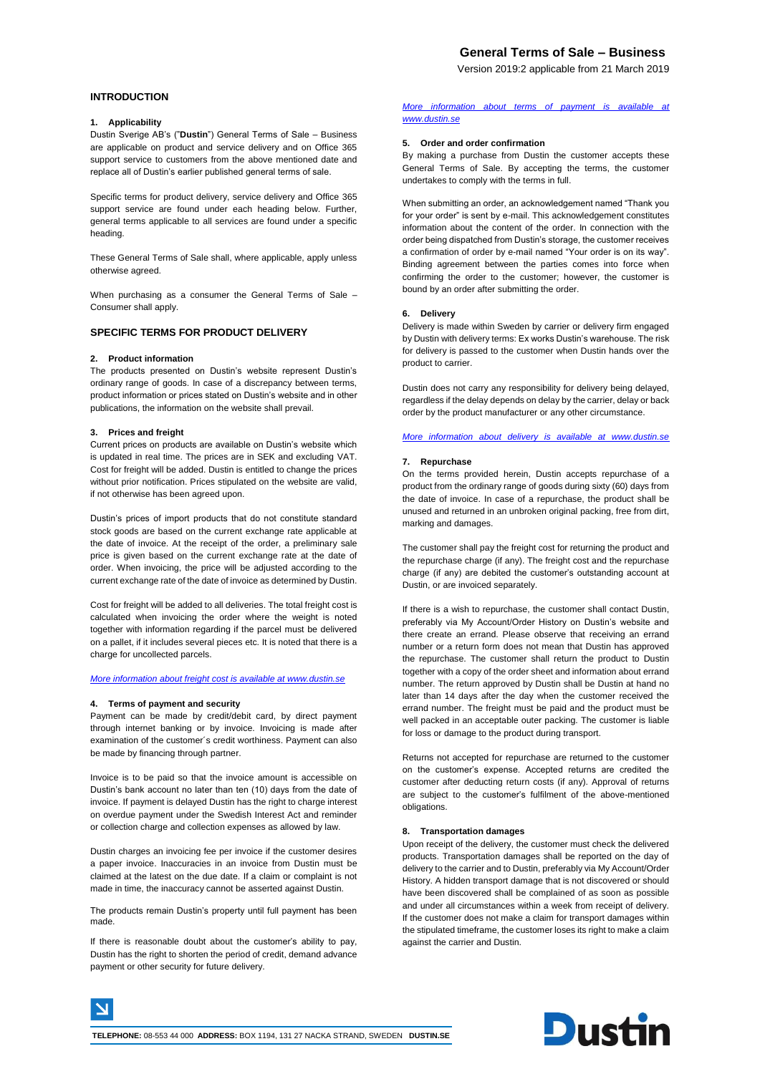# **General Terms of Sale – Business**

Version 2019:2 applicable from 21 March 2019

## **INTRODUCTION**

### **1. Applicability**

Dustin Sverige AB's ("**Dustin**") General Terms of Sale – Business are applicable on product and service delivery and on Office 365 support service to customers from the above mentioned date and replace all of Dustin's earlier published general terms of sale.

Specific terms for product delivery, service delivery and Office 365 support service are found under each heading below. Further, general terms applicable to all services are found under a specific heading.

These General Terms of Sale shall, where applicable, apply unless otherwise agreed.

When purchasing as a consumer the General Terms of Sale – Consumer shall apply.

# **SPECIFIC TERMS FOR PRODUCT DELIVERY**

### **2. Product information**

The products presented on Dustin's website represent Dustin's ordinary range of goods. In case of a discrepancy between terms, product information or prices stated on Dustin's website and in other publications, the information on the website shall prevail.

### **3. Prices and freight**

Current prices on products are available on Dustin's website which is updated in real time. The prices are in SEK and excluding VAT. Cost for freight will be added. Dustin is entitled to change the prices without prior notification. Prices stipulated on the website are valid, if not otherwise has been agreed upon.

Dustin's prices of import products that do not constitute standard stock goods are based on the current exchange rate applicable at the date of invoice. At the receipt of the order, a preliminary sale price is given based on the current exchange rate at the date of order. When invoicing, the price will be adjusted according to the current exchange rate of the date of invoice as determined by Dustin.

Cost for freight will be added to all deliveries. The total freight cost is calculated when invoicing the order where the weight is noted together with information regarding if the parcel must be delivered on a pallet, if it includes several pieces etc. It is noted that there is a charge for uncollected parcels.

*[More information about freight cost is available at www.dustin.se](file:///C:/Users/MikaelaR/AppData/Local/Microsoft/Windows/Temporary%20Internet%20Files/Content.Outlook/72907OBB/More%20information%20about%20freight%20cost%20is%20available%20at%20www.dustin.se)*

#### **4. Terms of payment and security**

Payment can be made by credit/debit card, by direct payment through internet banking or by invoice. Invoicing is made after examination of the customer´s credit worthiness. Payment can also be made by financing through partner.

Invoice is to be paid so that the invoice amount is accessible on Dustin's bank account no later than ten (10) days from the date of invoice. If payment is delayed Dustin has the right to charge interest on overdue payment under the Swedish Interest Act and reminder or collection charge and collection expenses as allowed by law.

Dustin charges an invoicing fee per invoice if the customer desires a paper invoice. Inaccuracies in an invoice from Dustin must be claimed at the latest on the due date. If a claim or complaint is not made in time, the inaccuracy cannot be asserted against Dustin.

The products remain Dustin's property until full payment has been made.

If there is reasonable doubt about the customer's ability to pay, Dustin has the right to shorten the period of credit, demand advance payment or other security for future delivery.

### *[More information about terms of payment is available at](file:///C:/Users/MikaelaR/AppData/Local/Microsoft/Windows/Temporary%20Internet%20Files/Content.Outlook/72907OBB/More%20information%20about%20terms%20of%20payment%20is%20available%20at%20www.dustin.se)  [www.dustin.se](file:///C:/Users/MikaelaR/AppData/Local/Microsoft/Windows/Temporary%20Internet%20Files/Content.Outlook/72907OBB/More%20information%20about%20terms%20of%20payment%20is%20available%20at%20www.dustin.se)*

#### **5. Order and order confirmation**

By making a purchase from Dustin the customer accepts these General Terms of Sale. By accepting the terms, the customer undertakes to comply with the terms in full.

When submitting an order, an acknowledgement named "Thank you for your order" is sent by e-mail. This acknowledgement constitutes information about the content of the order. In connection with the order being dispatched from Dustin's storage, the customer receives a confirmation of order by e-mail named "Your order is on its way". Binding agreement between the parties comes into force when confirming the order to the customer; however, the customer is bound by an order after submitting the order.

### **6. Delivery**

Delivery is made within Sweden by carrier or delivery firm engaged by Dustin with delivery terms: Ex works Dustin's warehouse. The risk for delivery is passed to the customer when Dustin hands over the product to carrier.

Dustin does not carry any responsibility for delivery being delayed, regardless if the delay depends on delay by the carrier, delay or back order by the product manufacturer or any other circumstance.

*[More information about delivery is available at www.dustin.se](file:///C:/Users/MikaelaR/AppData/Local/Microsoft/Windows/Temporary%20Internet%20Files/Content.Outlook/72907OBB/Allmänna%20Försäljningsvillkor%20-%20Företag%202015%20v%202.docx)*

#### **7. Repurchase**

On the terms provided herein, Dustin accepts repurchase of a product from the ordinary range of goods during sixty (60) days from the date of invoice. In case of a repurchase, the product shall be unused and returned in an unbroken original packing, free from dirt, marking and damages.

The customer shall pay the freight cost for returning the product and the repurchase charge (if any). The freight cost and the repurchase charge (if any) are debited the customer's outstanding account at Dustin, or are invoiced separately.

If there is a wish to repurchase, the customer shall contact Dustin, preferably via My Account/Order History on Dustin's website and there create an errand. Please observe that receiving an errand number or a return form does not mean that Dustin has approved the repurchase. The customer shall return the product to Dustin together with a copy of the order sheet and information about errand number. The return approved by Dustin shall be Dustin at hand no later than 14 days after the day when the customer received the errand number. The freight must be paid and the product must be well packed in an acceptable outer packing. The customer is liable for loss or damage to the product during transport.

Returns not accepted for repurchase are returned to the customer on the customer's expense. Accepted returns are credited the customer after deducting return costs (if any). Approval of returns are subject to the customer's fulfilment of the above-mentioned obligations.

### **8. Transportation damages**

Upon receipt of the delivery, the customer must check the delivered products. Transportation damages shall be reported on the day of delivery to the carrier and to Dustin, preferably via My Account/Order History. A hidden transport damage that is not discovered or should have been discovered shall be complained of as soon as possible and under all circumstances within a week from receipt of delivery. If the customer does not make a claim for transport damages within the stipulated timeframe, the customer loses its right to make a claim against the carrier and Dustin.

**Dustin**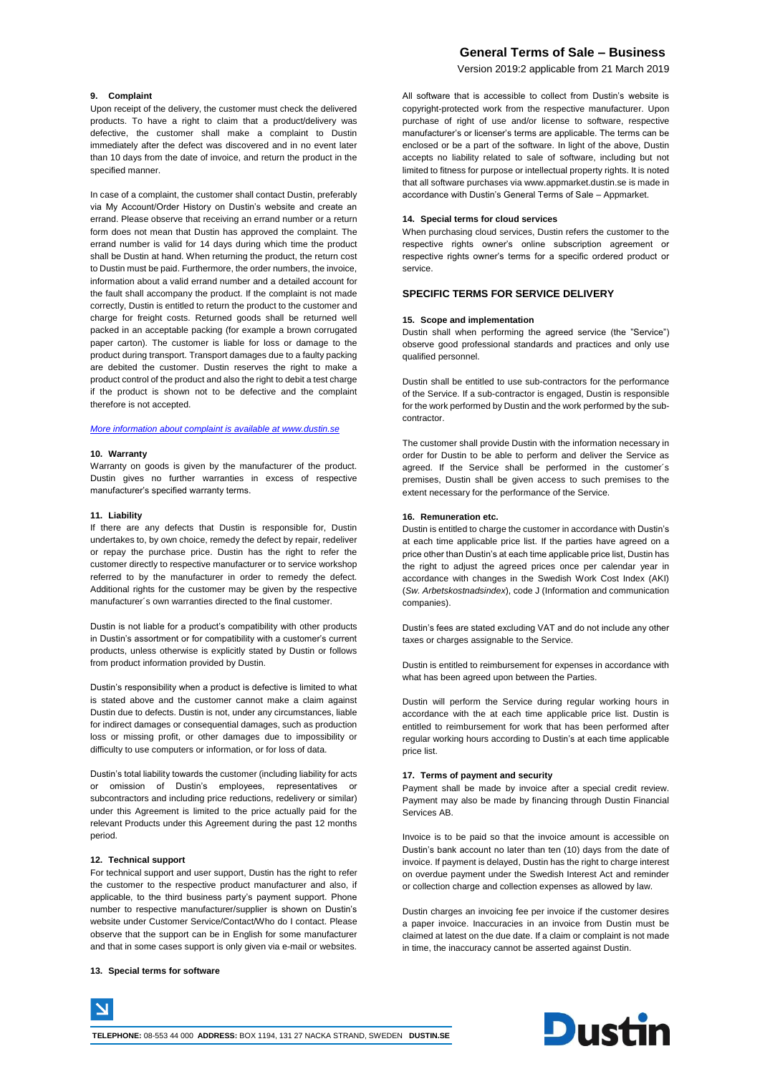# **General Terms of Sale – Business**

Version 2019:2 applicable from 21 March 2019

### **9. Complaint**

Upon receipt of the delivery, the customer must check the delivered products. To have a right to claim that a product/delivery was defective, the customer shall make a complaint to Dustin immediately after the defect was discovered and in no event later than 10 days from the date of invoice, and return the product in the specified manner.

In case of a complaint, the customer shall contact Dustin, preferably via My Account/Order History on Dustin's website and create an errand. Please observe that receiving an errand number or a return form does not mean that Dustin has approved the complaint. The errand number is valid for 14 days during which time the product shall be Dustin at hand. When returning the product, the return cost to Dustin must be paid. Furthermore, the order numbers, the invoice, information about a valid errand number and a detailed account for the fault shall accompany the product. If the complaint is not made correctly, Dustin is entitled to return the product to the customer and charge for freight costs. Returned goods shall be returned well packed in an acceptable packing (for example a brown corrugated paper carton). The customer is liable for loss or damage to the product during transport. Transport damages due to a faulty packing are debited the customer. Dustin reserves the right to make a product control of the product and also the right to debit a test charge if the product is shown not to be defective and the complaint therefore is not accepted.

### *[More information about complaint is available at www.dustin.se](file:///C:/Users/MikaelaR/AppData/Local/Microsoft/Windows/Temporary%20Internet%20Files/Content.Outlook/72907OBB/More%20information%20about%20complaint%20is%20available%20at%20www.dustin.se)*

#### **10. Warranty**

Warranty on goods is given by the manufacturer of the product. Dustin gives no further warranties in excess of respective manufacturer's specified warranty terms.

#### **11. Liability**

If there are any defects that Dustin is responsible for, Dustin undertakes to, by own choice, remedy the defect by repair, redeliver or repay the purchase price. Dustin has the right to refer the customer directly to respective manufacturer or to service workshop referred to by the manufacturer in order to remedy the defect. Additional rights for the customer may be given by the respective manufacturer´s own warranties directed to the final customer.

Dustin is not liable for a product's compatibility with other products in Dustin's assortment or for compatibility with a customer's current products, unless otherwise is explicitly stated by Dustin or follows from product information provided by Dustin.

Dustin's responsibility when a product is defective is limited to what is stated above and the customer cannot make a claim against Dustin due to defects. Dustin is not, under any circumstances, liable for indirect damages or consequential damages, such as production loss or missing profit, or other damages due to impossibility or difficulty to use computers or information, or for loss of data.

Dustin's total liability towards the customer (including liability for acts or omission of Dustin's employees, representatives subcontractors and including price reductions, redelivery or similar) under this Agreement is limited to the price actually paid for the relevant Products under this Agreement during the past 12 months period.

#### **12. Technical support**

For technical support and user support, Dustin has the right to refer the customer to the respective product manufacturer and also, if applicable, to the third business party's payment support. Phone number to respective manufacturer/supplier is shown on Dustin's website under Customer Service/Contact/Who do I contact. Please observe that the support can be in English for some manufacturer and that in some cases support is only given via e-mail or websites.

### **13. Special terms for software**

All software that is accessible to collect from Dustin's website is copyright-protected work from the respective manufacturer. Upon purchase of right of use and/or license to software, respective manufacturer's or licenser's terms are applicable. The terms can be enclosed or be a part of the software. In light of the above, Dustin accepts no liability related to sale of software, including but not limited to fitness for purpose or intellectual property rights. It is noted that all software purchases via www.appmarket.dustin.se is made in accordance with Dustin's General Terms of Sale – Appmarket.

#### **14. Special terms for cloud services**

When purchasing cloud services, Dustin refers the customer to the respective rights owner's online subscription agreement or respective rights owner's terms for a specific ordered product or service.

### **SPECIFIC TERMS FOR SERVICE DELIVERY**

### **15. Scope and implementation**

Dustin shall when performing the agreed service (the "Service") observe good professional standards and practices and only use qualified personnel.

Dustin shall be entitled to use sub-contractors for the performance of the Service. If a sub-contractor is engaged, Dustin is responsible for the work performed by Dustin and the work performed by the subcontractor.

The customer shall provide Dustin with the information necessary in order for Dustin to be able to perform and deliver the Service as agreed. If the Service shall be performed in the customer´s premises, Dustin shall be given access to such premises to the extent necessary for the performance of the Service.

#### **16. Remuneration etc.**

Dustin is entitled to charge the customer in accordance with Dustin's at each time applicable price list. If the parties have agreed on a price other than Dustin's at each time applicable price list, Dustin has the right to adjust the agreed prices once per calendar year in accordance with changes in the Swedish Work Cost Index (AKI) (*Sw. Arbetskostnadsindex*), code J (Information and communication companies).

Dustin's fees are stated excluding VAT and do not include any other taxes or charges assignable to the Service.

Dustin is entitled to reimbursement for expenses in accordance with what has been agreed upon between the Parties.

Dustin will perform the Service during regular working hours in accordance with the at each time applicable price list. Dustin is entitled to reimbursement for work that has been performed after regular working hours according to Dustin's at each time applicable price list.

#### **17. Terms of payment and security**

Payment shall be made by invoice after a special credit review. Payment may also be made by financing through Dustin Financial Services AB.

Invoice is to be paid so that the invoice amount is accessible on Dustin's bank account no later than ten (10) days from the date of invoice. If payment is delayed, Dustin has the right to charge interest on overdue payment under the Swedish Interest Act and reminder or collection charge and collection expenses as allowed by law.

Dustin charges an invoicing fee per invoice if the customer desires a paper invoice. Inaccuracies in an invoice from Dustin must be claimed at latest on the due date. If a claim or complaint is not made in time, the inaccuracy cannot be asserted against Dustin.

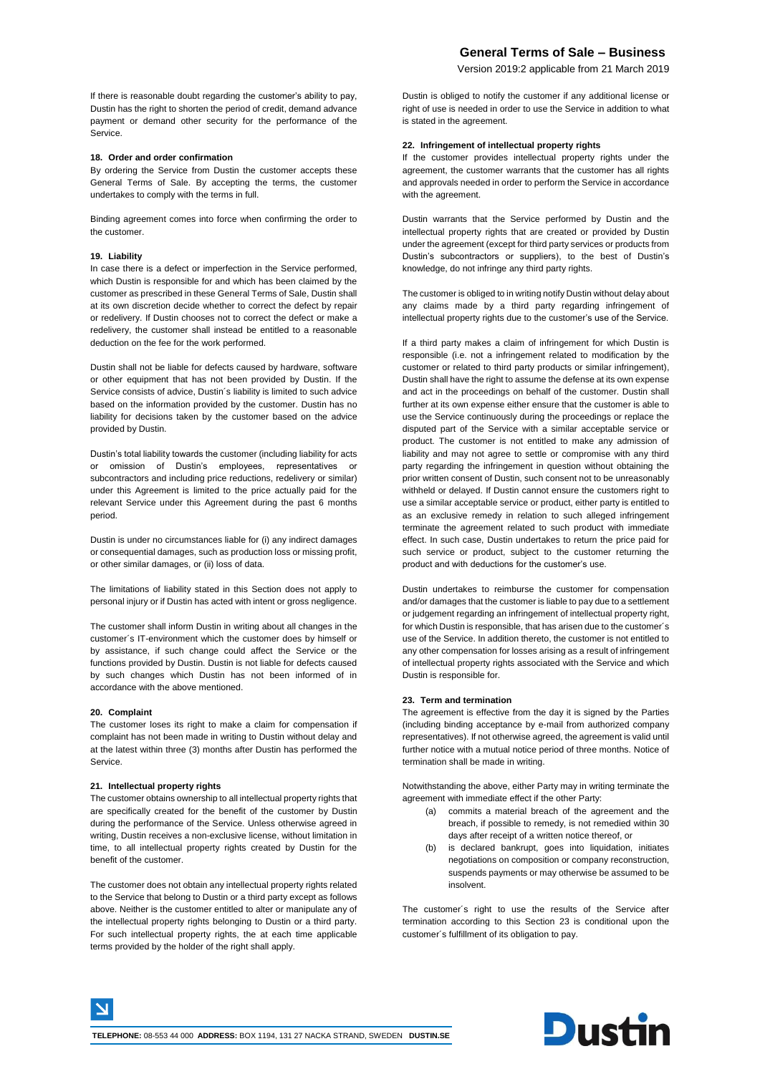Version 2019:2 applicable from 21 March 2019

If there is reasonable doubt regarding the customer's ability to pay, Dustin has the right to shorten the period of credit, demand advance payment or demand other security for the performance of the Service.

### **18. Order and order confirmation**

By ordering the Service from Dustin the customer accepts these General Terms of Sale. By accepting the terms, the customer undertakes to comply with the terms in full.

Binding agreement comes into force when confirming the order to the customer.

#### **19. Liability**

In case there is a defect or imperfection in the Service performed, which Dustin is responsible for and which has been claimed by the customer as prescribed in these General Terms of Sale, Dustin shall at its own discretion decide whether to correct the defect by repair or redelivery. If Dustin chooses not to correct the defect or make a redelivery, the customer shall instead be entitled to a reasonable deduction on the fee for the work performed.

Dustin shall not be liable for defects caused by hardware, software or other equipment that has not been provided by Dustin. If the Service consists of advice, Dustin´s liability is limited to such advice based on the information provided by the customer. Dustin has no liability for decisions taken by the customer based on the advice provided by Dustin.

Dustin's total liability towards the customer (including liability for acts or omission of Dustin's employees, representatives or subcontractors and including price reductions, redelivery or similar) under this Agreement is limited to the price actually paid for the relevant Service under this Agreement during the past 6 months period.

Dustin is under no circumstances liable for (i) any indirect damages or consequential damages, such as production loss or missing profit, or other similar damages, or (ii) loss of data.

The limitations of liability stated in this Section does not apply to personal injury or if Dustin has acted with intent or gross negligence.

The customer shall inform Dustin in writing about all changes in the customer´s IT-environment which the customer does by himself or by assistance, if such change could affect the Service or the functions provided by Dustin. Dustin is not liable for defects caused by such changes which Dustin has not been informed of in accordance with the above mentioned.

#### **20. Complaint**

The customer loses its right to make a claim for compensation if complaint has not been made in writing to Dustin without delay and at the latest within three (3) months after Dustin has performed the Service.

### **21. Intellectual property rights**

The customer obtains ownership to all intellectual property rights that are specifically created for the benefit of the customer by Dustin during the performance of the Service. Unless otherwise agreed in writing, Dustin receives a non-exclusive license, without limitation in time, to all intellectual property rights created by Dustin for the benefit of the customer.

The customer does not obtain any intellectual property rights related to the Service that belong to Dustin or a third party except as follows above. Neither is the customer entitled to alter or manipulate any of the intellectual property rights belonging to Dustin or a third party. For such intellectual property rights, the at each time applicable terms provided by the holder of the right shall apply.

Dustin is obliged to notify the customer if any additional license or right of use is needed in order to use the Service in addition to what is stated in the agreement.

### **22. Infringement of intellectual property rights**

If the customer provides intellectual property rights under the agreement, the customer warrants that the customer has all rights and approvals needed in order to perform the Service in accordance with the agreement.

Dustin warrants that the Service performed by Dustin and the intellectual property rights that are created or provided by Dustin under the agreement (except for third party services or products from Dustin's subcontractors or suppliers), to the best of Dustin's knowledge, do not infringe any third party rights.

The customer is obliged to in writing notify Dustin without delay about any claims made by a third party regarding infringement of intellectual property rights due to the customer's use of the Service.

If a third party makes a claim of infringement for which Dustin is responsible (i.e. not a infringement related to modification by the customer or related to third party products or similar infringement), Dustin shall have the right to assume the defense at its own expense and act in the proceedings on behalf of the customer. Dustin shall further at its own expense either ensure that the customer is able to use the Service continuously during the proceedings or replace the disputed part of the Service with a similar acceptable service or product. The customer is not entitled to make any admission of liability and may not agree to settle or compromise with any third party regarding the infringement in question without obtaining the prior written consent of Dustin, such consent not to be unreasonably withheld or delayed. If Dustin cannot ensure the customers right to use a similar acceptable service or product, either party is entitled to as an exclusive remedy in relation to such alleged infringement terminate the agreement related to such product with immediate effect. In such case, Dustin undertakes to return the price paid for such service or product, subject to the customer returning the product and with deductions for the customer's use.

Dustin undertakes to reimburse the customer for compensation and/or damages that the customer is liable to pay due to a settlement or judgement regarding an infringement of intellectual property right, for which Dustin is responsible, that has arisen due to the customer´s use of the Service. In addition thereto, the customer is not entitled to any other compensation for losses arising as a result of infringement of intellectual property rights associated with the Service and which Dustin is responsible for.

### **23. Term and termination**

The agreement is effective from the day it is signed by the Parties (including binding acceptance by e-mail from authorized company representatives). If not otherwise agreed, the agreement is valid until further notice with a mutual notice period of three months. Notice of termination shall be made in writing.

Notwithstanding the above, either Party may in writing terminate the agreement with immediate effect if the other Party:

- (a) commits a material breach of the agreement and the breach, if possible to remedy, is not remedied within 30 days after receipt of a written notice thereof, or
- (b) is declared bankrupt, goes into liquidation, initiates negotiations on composition or company reconstruction, suspends payments or may otherwise be assumed to be insolvent.

The customer´s right to use the results of the Service after termination according to this Section 23 is conditional upon the customer´s fulfillment of its obligation to pay.

**Dustin**